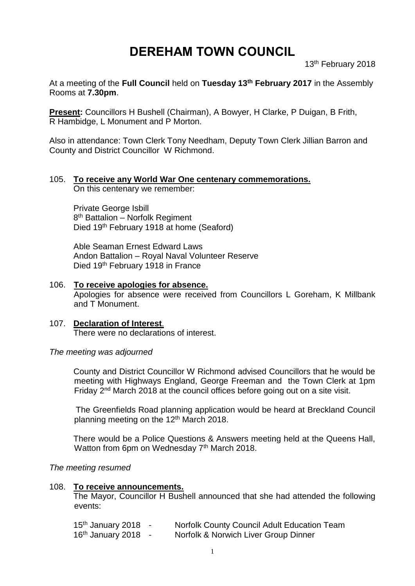# **DEREHAM TOWN COUNCIL**

13th February 2018

At a meeting of the **Full Council** held on **Tuesday 13th February 2017** in the Assembly Rooms at **7.30pm**.

**Present:** Councillors H Bushell (Chairman), A Bowyer, H Clarke, P Duigan, B Frith, R Hambidge, L Monument and P Morton.

Also in attendance: Town Clerk Tony Needham, Deputy Town Clerk Jillian Barron and County and District Councillor W Richmond.

## 105. **To receive any World War One centenary commemorations.**

On this centenary we remember:

Private George Isbill 8<sup>th</sup> Battalion - Norfolk Regiment Died 19th February 1918 at home (Seaford)

Able Seaman Ernest Edward Laws Andon Battalion – Royal Naval Volunteer Reserve Died 19th February 1918 in France

### 106. **To receive apologies for absence.**

Apologies for absence were received from Councillors L Goreham, K Millbank and T Monument.

#### 107. **Declaration of Interest**. There were no declarations of interest.

#### *The meeting was adjourned*

County and District Councillor W Richmond advised Councillors that he would be meeting with Highways England, George Freeman and the Town Clerk at 1pm Friday 2<sup>nd</sup> March 2018 at the council offices before going out on a site visit.

The Greenfields Road planning application would be heard at Breckland Council planning meeting on the 12<sup>th</sup> March 2018.

There would be a Police Questions & Answers meeting held at the Queens Hall, Watton from 6pm on Wednesday 7<sup>th</sup> March 2018.

*The meeting resumed*

#### 108. **To receive announcements.**

The Mayor, Councillor H Bushell announced that she had attended the following events:

| $15th$ January 2018 - | <b>Norfolk County Council Adult Education Team</b> |
|-----------------------|----------------------------------------------------|
| $16th$ January 2018 - | Norfolk & Norwich Liver Group Dinner               |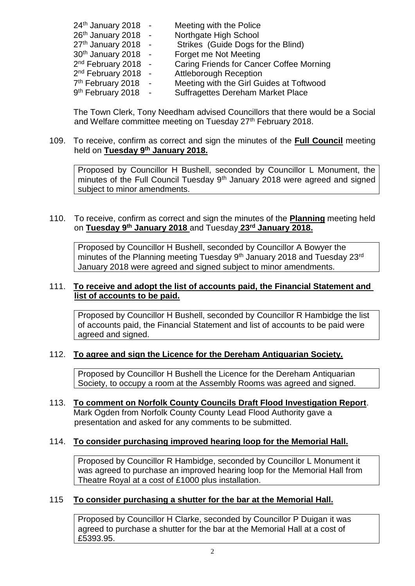| $24th$ January 2018 -           |        | Meeting with the Police                  |
|---------------------------------|--------|------------------------------------------|
| $26th$ January 2018 -           |        | Northgate High School                    |
| 27th January 2018 -             |        | Strikes (Guide Dogs for the Blind)       |
| 30th January 2018 -             |        | Forget me Not Meeting                    |
| 2 <sup>nd</sup> February 2018 - |        | Caring Friends for Cancer Coffee Morning |
| $2nd$ February 2018 -           |        | <b>Attleborough Reception</b>            |
| 7 <sup>th</sup> February 2018   | $\sim$ | Meeting with the Girl Guides at Toftwood |
| 9 <sup>th</sup> February 2018   |        | <b>Suffragettes Dereham Market Place</b> |

The Town Clerk, Tony Needham advised Councillors that there would be a Social and Welfare committee meeting on Tuesday 27<sup>th</sup> February 2018.

#### 109. To receive, confirm as correct and sign the minutes of the **Full Council** meeting held on **Tuesday 9 th January 2018.**

Proposed by Councillor H Bushell, seconded by Councillor L Monument, the minutes of the Full Council Tuesday 9<sup>th</sup> January 2018 were agreed and signed subject to minor amendments.

#### 110. To receive, confirm as correct and sign the minutes of the **Planning** meeting held on **Tuesday 9 th January 2018** and Tuesday **23rd January 2018.**

Proposed by Councillor H Bushell, seconded by Councillor A Bowyer the minutes of the Planning meeting Tuesday 9<sup>th</sup> January 2018 and Tuesday 23<sup>rd</sup> January 2018 were agreed and signed subject to minor amendments.

#### 111. **To receive and adopt the list of accounts paid, the Financial Statement and list of accounts to be paid.**

Proposed by Councillor H Bushell, seconded by Councillor R Hambidge the list of accounts paid, the Financial Statement and list of accounts to be paid were agreed and signed.

#### 112. **To agree and sign the Licence for the Dereham Antiquarian Society.**

Proposed by Councillor H Bushell the Licence for the Dereham Antiquarian Society, to occupy a room at the Assembly Rooms was agreed and signed.

#### 113. **To comment on Norfolk County Councils Draft Flood Investigation Report**. Mark Ogden from Norfolk County County Lead Flood Authority gave a presentation and asked for any comments to be submitted.

#### 114. **To consider purchasing improved hearing loop for the Memorial Hall.**

Proposed by Councillor R Hambidge, seconded by Councillor L Monument it was agreed to purchase an improved hearing loop for the Memorial Hall from Theatre Royal at a cost of £1000 plus installation.

#### 115 **To consider purchasing a shutter for the bar at the Memorial Hall.**

Proposed by Councillor H Clarke, seconded by Councillor P Duigan it was agreed to purchase a shutter for the bar at the Memorial Hall at a cost of £5393.95.